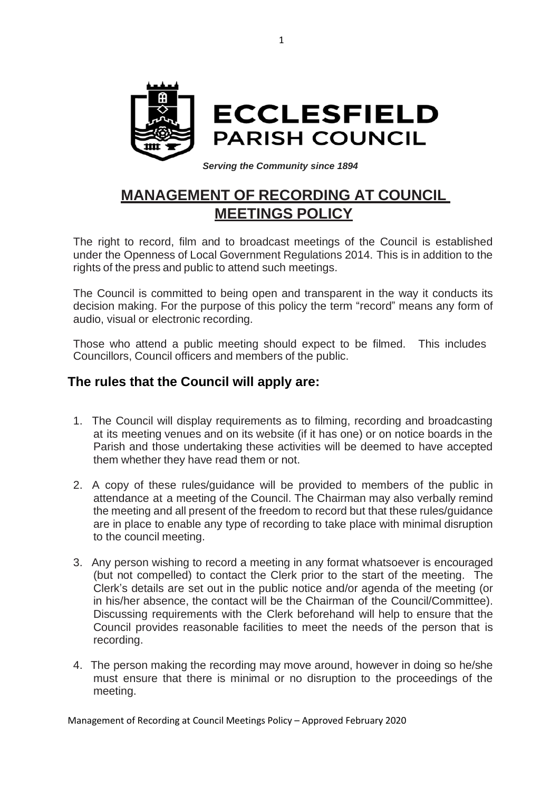

## *Serving the Community since 1894*

## **MANAGEMENT OF RECORDING AT COUNCIL MEETINGS POLICY**

The right to record, film and to broadcast meetings of the Council is established under the Openness of Local Government Regulations 2014. This is in addition to the rights of the press and public to attend such meetings.

The Council is committed to being open and transparent in the way it conducts its decision making. For the purpose of this policy the term "record" means any form of audio, visual or electronic recording.

Those who attend a public meeting should expect to be filmed. This includes Councillors, Council officers and members of the public.

## **The rules that the Council will apply are:**

- 1. The Council will display requirements as to filming, recording and broadcasting at its meeting venues and on its website (if it has one) or on notice boards in the Parish and those undertaking these activities will be deemed to have accepted them whether they have read them or not.
- 2. A copy of these rules/guidance will be provided to members of the public in attendance at a meeting of the Council. The Chairman may also verbally remind the meeting and all present of the freedom to record but that these rules/guidance are in place to enable any type of recording to take place with minimal disruption to the council meeting.
- 3. Any person wishing to record a meeting in any format whatsoever is encouraged (but not compelled) to contact the Clerk prior to the start of the meeting. The Clerk's details are set out in the public notice and/or agenda of the meeting (or in his/her absence, the contact will be the Chairman of the Council/Committee). Discussing requirements with the Clerk beforehand will help to ensure that the Council provides reasonable facilities to meet the needs of the person that is recording.
- 4. The person making the recording may move around, however in doing so he/she must ensure that there is minimal or no disruption to the proceedings of the meeting.

Management of Recording at Council Meetings Policy – Approved February 2020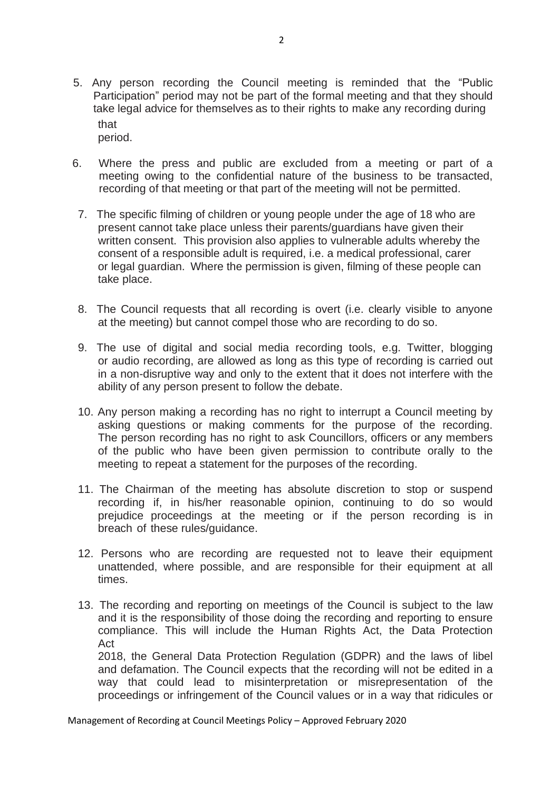- 5. Any person recording the Council meeting is reminded that the "Public Participation" period may not be part of the formal meeting and that they should take legal advice for themselves as to their rights to make any recording during that period.
- 6. Where the press and public are excluded from a meeting or part of a meeting owing to the confidential nature of the business to be transacted, recording of that meeting or that part of the meeting will not be permitted.
- 7. The specific filming of children or young people under the age of 18 who are present cannot take place unless their parents/guardians have given their written consent. This provision also applies to vulnerable adults whereby the consent of a responsible adult is required, i.e. a medical professional, carer or legal guardian. Where the permission is given, filming of these people can take place.
- 8. The Council requests that all recording is overt (i.e. clearly visible to anyone at the meeting) but cannot compel those who are recording to do so.
- 9. The use of digital and social media recording tools, e.g. Twitter, blogging or audio recording, are allowed as long as this type of recording is carried out in a non-disruptive way and only to the extent that it does not interfere with the ability of any person present to follow the debate.
- 10. Any person making a recording has no right to interrupt a Council meeting by asking questions or making comments for the purpose of the recording. The person recording has no right to ask Councillors, officers or any members of the public who have been given permission to contribute orally to the meeting to repeat a statement for the purposes of the recording.
- 11. The Chairman of the meeting has absolute discretion to stop or suspend recording if, in his/her reasonable opinion, continuing to do so would prejudice proceedings at the meeting or if the person recording is in breach of these rules/guidance.
- 12. Persons who are recording are requested not to leave their equipment unattended, where possible, and are responsible for their equipment at all times.
- 13. The recording and reporting on meetings of the Council is subject to the law and it is the responsibility of those doing the recording and reporting to ensure compliance. This will include the Human Rights Act, the Data Protection Act 2018, the General Data Protection Regulation (GDPR) and the laws of libel and defamation. The Council expects that the recording will not be edited in a way that could lead to misinterpretation or misrepresentation of the

proceedings or infringement of the Council values or in a way that ridicules or

Management of Recording at Council Meetings Policy – Approved February 2020